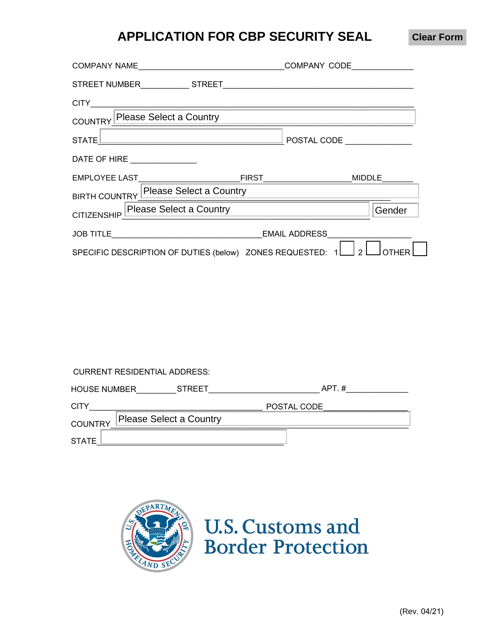# **APPLICATION FOR CBP SECURITY SEAL**

**Clear Form**

| COUNTRY Please Select a Country                                               |                           |
|-------------------------------------------------------------------------------|---------------------------|
|                                                                               | $\overline{POSTAL\ CODE}$ |
| DATE OF HIRE                                                                  |                           |
|                                                                               |                           |
| BIRTH COUNTRY Please Select a Country                                         |                           |
| CITIZENSHIP Please Select a Country                                           | Gender                    |
|                                                                               |                           |
| SPECIFIC DESCRIPTION OF DUTIES (below) ZONES REQUESTED: $1 \Box 2 \Box$ OTHER |                           |

CURRENT RESIDENTIAL ADDRESS:

| <b>HOUSE NUMBER</b>                              | <b>STREET</b> | APT.#       |
|--------------------------------------------------|---------------|-------------|
| <b>CITY</b>                                      |               | POSTAL CODE |
| <b>Please Select a Country</b><br><b>COUNTRY</b> |               |             |
| <b>STATE</b>                                     |               |             |



**U.S. Customs and Border Protection**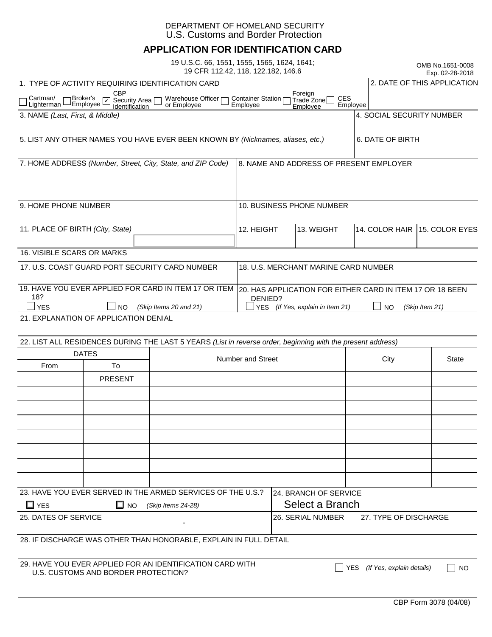#### DEPARTMENT OF HOMELAND SECURITY U.S. Customs and Border Protection

### **APPLICATION FOR IDENTIFICATION CARD**

|                                                                                            |                                                                         | 19 U.S.C. 66, 1551, 1555, 1565, 1624, 1641;                                                                 | 19 CFR 112.42, 118, 122.182, 146.6                        |                                                             |                                         | OMB No.1651-0008<br>Exp. 02-28-2018 |
|--------------------------------------------------------------------------------------------|-------------------------------------------------------------------------|-------------------------------------------------------------------------------------------------------------|-----------------------------------------------------------|-------------------------------------------------------------|-----------------------------------------|-------------------------------------|
| 1. TYPE OF ACTIVITY REQUIRING IDENTIFICATION CARD                                          |                                                                         |                                                                                                             |                                                           |                                                             | 2. DATE OF THIS APPLICATION             |                                     |
| Cartman/<br>Lighterman                                                                     | <b>CBP</b><br>Broker's<br>Security Area  <br> dentification<br>Employee | Warehouse Officer<br>or Employee                                                                            | Container Station ⊓<br>Employee                           | Foreign<br><b>CES</b><br>Trade Zone<br>Employee<br>Employee |                                         |                                     |
| 3. NAME (Last, First, & Middle)                                                            |                                                                         |                                                                                                             |                                                           |                                                             | 4. SOCIAL SECURITY NUMBER               |                                     |
|                                                                                            |                                                                         |                                                                                                             |                                                           |                                                             |                                         |                                     |
|                                                                                            |                                                                         | 5. LIST ANY OTHER NAMES YOU HAVE EVER BEEN KNOWN BY (Nicknames, aliases, etc.)                              |                                                           |                                                             | 6. DATE OF BIRTH                        |                                     |
|                                                                                            |                                                                         | 7. HOME ADDRESS (Number, Street, City, State, and ZIP Code)                                                 |                                                           |                                                             | 8. NAME AND ADDRESS OF PRESENT EMPLOYER |                                     |
|                                                                                            |                                                                         |                                                                                                             |                                                           |                                                             |                                         |                                     |
|                                                                                            |                                                                         |                                                                                                             |                                                           |                                                             |                                         |                                     |
| 9. HOME PHONE NUMBER                                                                       |                                                                         |                                                                                                             | 10. BUSINESS PHONE NUMBER                                 |                                                             |                                         |                                     |
|                                                                                            |                                                                         |                                                                                                             |                                                           |                                                             |                                         |                                     |
| 11. PLACE OF BIRTH (City, State)                                                           |                                                                         |                                                                                                             | 12. HEIGHT                                                | 13. WEIGHT                                                  | 14. COLOR HAIR                          | 15. COLOR EYES                      |
|                                                                                            |                                                                         |                                                                                                             |                                                           |                                                             |                                         |                                     |
| <b>16. VISIBLE SCARS OR MARKS</b>                                                          |                                                                         |                                                                                                             |                                                           |                                                             |                                         |                                     |
| 17. U.S. COAST GUARD PORT SECURITY CARD NUMBER                                             |                                                                         |                                                                                                             | 18. U.S. MERCHANT MARINE CARD NUMBER                      |                                                             |                                         |                                     |
|                                                                                            |                                                                         |                                                                                                             |                                                           |                                                             |                                         |                                     |
|                                                                                            |                                                                         | 19. HAVE YOU EVER APPLIED FOR CARD IN ITEM 17 OR ITEM                                                       | 20. HAS APPLICATION FOR EITHER CARD IN ITEM 17 OR 18 BEEN |                                                             |                                         |                                     |
| 18?                                                                                        |                                                                         |                                                                                                             | DENIED?                                                   |                                                             |                                         |                                     |
| <b>YES</b><br><b>NO</b><br>(Skip Items 20 and 21)<br>21. EXPLANATION OF APPLICATION DENIAL |                                                                         |                                                                                                             |                                                           | YES (If Yes, explain in Item 21)                            | <b>NO</b>                               | (Skip Item 21)                      |
|                                                                                            |                                                                         |                                                                                                             |                                                           |                                                             |                                         |                                     |
|                                                                                            |                                                                         | 22. LIST ALL RESIDENCES DURING THE LAST 5 YEARS (List in reverse order, beginning with the present address) |                                                           |                                                             |                                         |                                     |
|                                                                                            | <b>DATES</b>                                                            |                                                                                                             |                                                           |                                                             |                                         |                                     |
| From                                                                                       | To                                                                      | <b>Number and Street</b>                                                                                    |                                                           |                                                             | City                                    | <b>State</b>                        |
|                                                                                            |                                                                         |                                                                                                             |                                                           |                                                             |                                         |                                     |
|                                                                                            | <b>PRESENT</b>                                                          |                                                                                                             |                                                           |                                                             |                                         |                                     |
|                                                                                            |                                                                         |                                                                                                             |                                                           |                                                             |                                         |                                     |
|                                                                                            |                                                                         |                                                                                                             |                                                           |                                                             |                                         |                                     |
|                                                                                            |                                                                         |                                                                                                             |                                                           |                                                             |                                         |                                     |
|                                                                                            |                                                                         |                                                                                                             |                                                           |                                                             |                                         |                                     |
|                                                                                            |                                                                         |                                                                                                             |                                                           |                                                             |                                         |                                     |

| 23. HAVE YOU EVER SERVED IN THE ARMED SERVICES OF THE U.S.? | 124. BRANCH OF SERVICE |                           |                        |  |
|-------------------------------------------------------------|------------------------|---------------------------|------------------------|--|
| $\Box$ YES<br>$\Box$ No                                     | (Skip Items 24-28)     | Select a Branch           |                        |  |
| 25. DATES OF SERVICE                                        | $\sim$                 | <b>126. SERIAL NUMBER</b> | 127. TYPE OF DISCHARGE |  |

28. IF DISCHARGE WAS OTHER THAN HONORABLE, EXPLAIN IN FULL DETAIL

29. HAVE YOU EVER APPLIED FOR AN IDENTIFICATION CARD WITH HAVE YOU EVER APPLIED FOR AN IDENTIFICATION CARD WITH<br>U.S. CUSTOMS AND BORDER PROTECTION?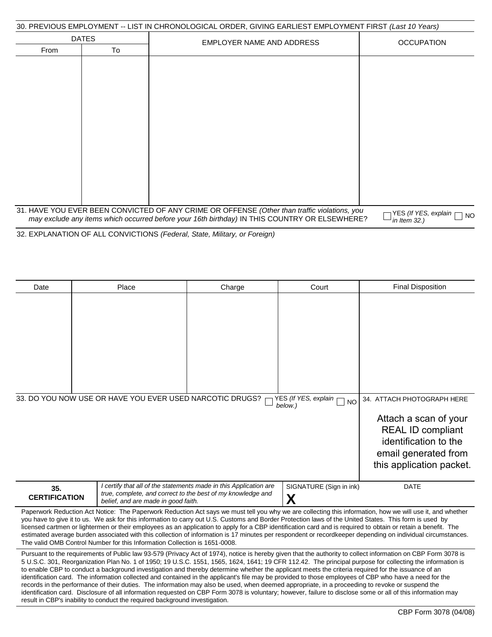| 30. PREVIOUS EMPLOYMENT -- LIST IN CHRONOLOGICAL ORDER. GIVING EARLIEST EMPLOYMENT FIRST <i>(Last 10 Years)</i> |  |  |  |  |
|-----------------------------------------------------------------------------------------------------------------|--|--|--|--|
|-----------------------------------------------------------------------------------------------------------------|--|--|--|--|

| 00: I INLYIOOO LIVII LOTIVILIVI<br><b>DATES</b> |    | <b>LIVE LIVE ON A CHANGE ON A CHANGE OF A CHANGE OF LIVE LOT INILITY IT INCT (LOOK TO TOOLS)</b>                                                                                              |                                                      |
|-------------------------------------------------|----|-----------------------------------------------------------------------------------------------------------------------------------------------------------------------------------------------|------------------------------------------------------|
| From                                            | To | <b>EMPLOYER NAME AND ADDRESS</b>                                                                                                                                                              | <b>OCCUPATION</b>                                    |
|                                                 |    |                                                                                                                                                                                               |                                                      |
|                                                 |    |                                                                                                                                                                                               |                                                      |
|                                                 |    |                                                                                                                                                                                               |                                                      |
|                                                 |    |                                                                                                                                                                                               |                                                      |
|                                                 |    |                                                                                                                                                                                               |                                                      |
|                                                 |    |                                                                                                                                                                                               |                                                      |
|                                                 |    |                                                                                                                                                                                               |                                                      |
|                                                 |    |                                                                                                                                                                                               |                                                      |
|                                                 |    |                                                                                                                                                                                               |                                                      |
|                                                 |    |                                                                                                                                                                                               |                                                      |
|                                                 |    |                                                                                                                                                                                               |                                                      |
|                                                 |    | 31. HAVE YOU EVER BEEN CONVICTED OF ANY CRIME OR OFFENSE (Other than traffic violations, you<br>may exclude any items which occurred before your 16th birthday) IN THIS COUNTRY OR ELSEWHERE? | YES (If YES, explain<br><b>NO</b><br>in Item $32.$ ) |

32. EXPLANATION OF ALL CONVICTIONS *(Federal, State, Military, or Foreign)*

| Date                        | Place                                                                       | Charge                                                                                                                                                                                                                                                                                                                                                                                                                                                          | Court                                        | <b>Final Disposition</b>                                                                                                                                                                                                                                                                                                                                                                                                                                                                   |
|-----------------------------|-----------------------------------------------------------------------------|-----------------------------------------------------------------------------------------------------------------------------------------------------------------------------------------------------------------------------------------------------------------------------------------------------------------------------------------------------------------------------------------------------------------------------------------------------------------|----------------------------------------------|--------------------------------------------------------------------------------------------------------------------------------------------------------------------------------------------------------------------------------------------------------------------------------------------------------------------------------------------------------------------------------------------------------------------------------------------------------------------------------------------|
|                             |                                                                             |                                                                                                                                                                                                                                                                                                                                                                                                                                                                 |                                              |                                                                                                                                                                                                                                                                                                                                                                                                                                                                                            |
|                             |                                                                             |                                                                                                                                                                                                                                                                                                                                                                                                                                                                 |                                              |                                                                                                                                                                                                                                                                                                                                                                                                                                                                                            |
|                             | 33. DO YOU NOW USE OR HAVE YOU EVER USED NARCOTIC DRUGS?                    |                                                                                                                                                                                                                                                                                                                                                                                                                                                                 | YES (If YES, explain<br><b>NO</b><br>below.) | 34. ATTACH PHOTOGRAPH HERE                                                                                                                                                                                                                                                                                                                                                                                                                                                                 |
|                             |                                                                             |                                                                                                                                                                                                                                                                                                                                                                                                                                                                 |                                              | Attach a scan of your<br><b>REAL ID compliant</b><br>identification to the<br>email generated from<br>this application packet.                                                                                                                                                                                                                                                                                                                                                             |
| 35.<br><b>CERTIFICATION</b> | belief, and are made in good faith.                                         | I certify that all of the statements made in this Application are<br>true, complete, and correct to the best of my knowledge and                                                                                                                                                                                                                                                                                                                                | SIGNATURE (Sign in ink)<br>X                 | <b>DATE</b>                                                                                                                                                                                                                                                                                                                                                                                                                                                                                |
|                             | The valid OMB Control Number for this Information Collection is 1651-0008.  | you have to give it to us. We ask for this information to carry out U.S. Customs and Border Protection laws of the United States. This form is used by                                                                                                                                                                                                                                                                                                          |                                              | Paperwork Reduction Act Notice: The Paperwork Reduction Act says we must tell you why we are collecting this information, how we will use it, and whether<br>licensed cartmen or lightermen or their employees as an application to apply for a CBP identification card and is required to obtain or retain a benefit. The<br>estimated average burden associated with this collection of information is 17 minutes per respondent or recordkeeper depending on individual circumstances.  |
|                             | result in CBP's inability to conduct the required background investigation. | to enable CBP to conduct a background investigation and thereby determine whether the applicant meets the criteria required for the issuance of an<br>identification card. The information collected and contained in the applicant's file may be provided to those employees of CBP who have a need for the<br>records in the performance of their duties. The information may also be used, when deemed appropriate, in a proceeding to revoke or suspend the |                                              | Pursuant to the requirements of Public law 93-579 (Privacy Act of 1974), notice is hereby given that the authority to collect information on CBP Form 3078 is<br>5 U.S.C. 301, Reorganization Plan No. 1 of 1950; 19 U.S.C. 1551, 1565, 1624, 1641; 19 CFR 112.42. The principal purpose for collecting the information is<br>identification card. Disclosure of all information requested on CBP Form 3078 is voluntary; however, failure to disclose some or all of this information may |
|                             |                                                                             |                                                                                                                                                                                                                                                                                                                                                                                                                                                                 |                                              | CBP Form 3078 (04/08)                                                                                                                                                                                                                                                                                                                                                                                                                                                                      |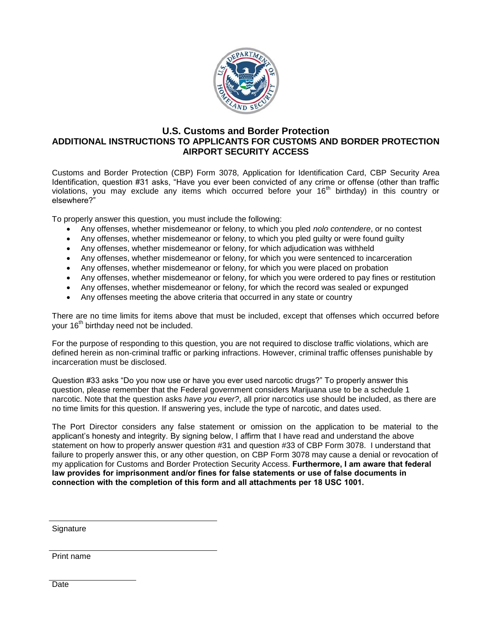

#### **U.S. Customs and Border Protection ADDITIONAL INSTRUCTIONS TO APPLICANTS FOR CUSTOMS AND BORDER PROTECTION AIRPORT SECURITY ACCESS**

Customs and Border Protection (CBP) Form 3078, Application for Identification Card, CBP Security Area Identification, question #31 asks, "Have you ever been convicted of any crime or offense (other than traffic violations, you may exclude any items which occurred before your 16th birthday) in this country or elsewhere?"

To properly answer this question, you must include the following:

- Any offenses, whether misdemeanor or felony, to which you pled *nolo contendere*, or no contest
- Any offenses, whether misdemeanor or felony, to which you pled guilty or were found guilty
- Any offenses, whether misdemeanor or felony, for which adjudication was withheld
- Any offenses, whether misdemeanor or felony, for which you were sentenced to incarceration
- Any offenses, whether misdemeanor or felony, for which you were placed on probation
- Any offenses, whether misdemeanor or felony, for which you were ordered to pay fines or restitution
- Any offenses, whether misdemeanor or felony, for which the record was sealed or expunged
- Any offenses meeting the above criteria that occurred in any state or country

There are no time limits for items above that must be included, except that offenses which occurred before your 16<sup>th</sup> birthday need not be included.

For the purpose of responding to this question, you are not required to disclose traffic violations, which are defined herein as non-criminal traffic or parking infractions. However, criminal traffic offenses punishable by incarceration must be disclosed.

Question #33 asks "Do you now use or have you ever used narcotic drugs?" To properly answer this question, please remember that the Federal government considers Marijuana use to be a schedule 1 narcotic. Note that the question asks *have you ever?*, all prior narcotics use should be included, as there are no time limits for this question. If answering yes, include the type of narcotic, and dates used.

The Port Director considers any false statement or omission on the application to be material to the applicant's honesty and integrity. By signing below, I affirm that I have read and understand the above statement on how to properly answer question #31 and question #33 of CBP Form 3078. I understand that failure to properly answer this, or any other question, on CBP Form 3078 may cause a denial or revocation of my application for Customs and Border Protection Security Access. **Furthermore, I am aware that federal law provides for imprisonment and/or fines for false statements or use of false documents in connection with the completion of this form and all attachments per 18 USC 1001.**

**Signature** 

Print name

**Date**